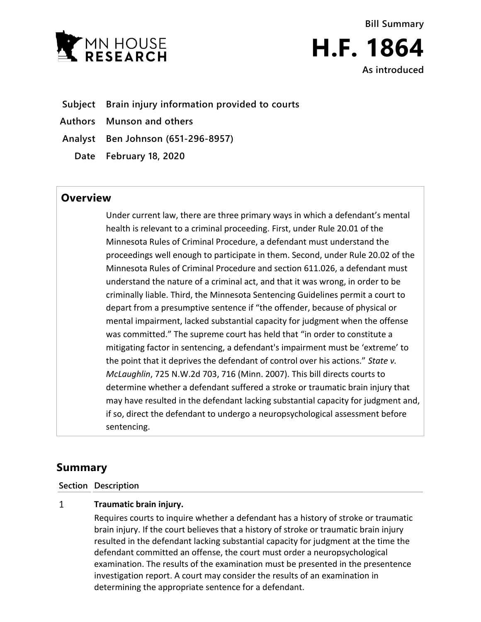



**Subject Brain injury information provided to courts**

**Authors Munson and others**

**Analyst Ben Johnson (651-296-8957)**

**Date February 18, 2020**

## **Overview**

Under current law, there are three primary ways in which a defendant's mental health is relevant to a criminal proceeding. First, under Rule 20.01 of the Minnesota Rules of Criminal Procedure, a defendant must understand the proceedings well enough to participate in them. Second, under Rule 20.02 of the Minnesota Rules of Criminal Procedure and section 611.026, a defendant must understand the nature of a criminal act, and that it was wrong, in order to be criminally liable. Third, the Minnesota Sentencing Guidelines permit a court to depart from a presumptive sentence if "the offender, because of physical or mental impairment, lacked substantial capacity for judgment when the offense was committed." The supreme court has held that "in order to constitute a mitigating factor in sentencing, a defendant's impairment must be 'extreme' to the point that it deprives the defendant of control over his actions." *State v. McLaughlin*, 725 N.W.2d 703, 716 (Minn. 2007). This bill directs courts to determine whether a defendant suffered a stroke or traumatic brain injury that may have resulted in the defendant lacking substantial capacity for judgment and, if so, direct the defendant to undergo a neuropsychological assessment before sentencing.

## **Summary**

## **Section Description**

## $\mathbf{1}$ **Traumatic brain injury.**

Requires courts to inquire whether a defendant has a history of stroke or traumatic brain injury. If the court believes that a history of stroke or traumatic brain injury resulted in the defendant lacking substantial capacity for judgment at the time the defendant committed an offense, the court must order a neuropsychological examination. The results of the examination must be presented in the presentence investigation report. A court may consider the results of an examination in determining the appropriate sentence for a defendant.